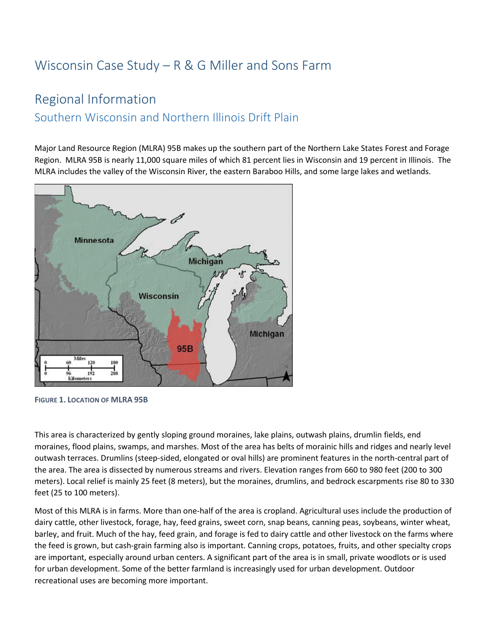# Wisconsin Case Study – R & G Miller and Sons Farm

# Regional Information

### Southern Wisconsin and Northern Illinois Drift Plain

Major Land Resource Region (MLRA) 95B makes up the southern part of the Northern Lake States Forest and Forage Region. MLRA 95B is nearly 11,000 square miles of which 81 percent lies in Wisconsin and 19 percent in Illinois. The MLRA includes the valley of the Wisconsin River, the eastern Baraboo Hills, and some large lakes and wetlands.



**FIGURE 1. LOCATION OF MLRA 95B**

This area is characterized by gently sloping ground moraines, lake plains, outwash plains, drumlin fields, end moraines, flood plains, swamps, and marshes. Most of the area has belts of morainic hills and ridges and nearly level outwash terraces. Drumlins (steep-sided, elongated or oval hills) are prominent features in the north-central part of the area. The area is dissected by numerous streams and rivers. Elevation ranges from 660 to 980 feet (200 to 300 meters). Local relief is mainly 25 feet (8 meters), but the moraines, drumlins, and bedrock escarpments rise 80 to 330 feet (25 to 100 meters).

Most of this MLRA is in farms. More than one-half of the area is cropland. Agricultural uses include the production of dairy cattle, other livestock, forage, hay, feed grains, sweet corn, snap beans, canning peas, soybeans, winter wheat, barley, and fruit. Much of the hay, feed grain, and forage is fed to dairy cattle and other livestock on the farms where the feed is grown, but cash-grain farming also is important. Canning crops, potatoes, fruits, and other specialty crops are important, especially around urban centers. A significant part of the area is in small, private woodlots or is used for urban development. Some of the better farmland is increasingly used for urban development. Outdoor recreational uses are becoming more important.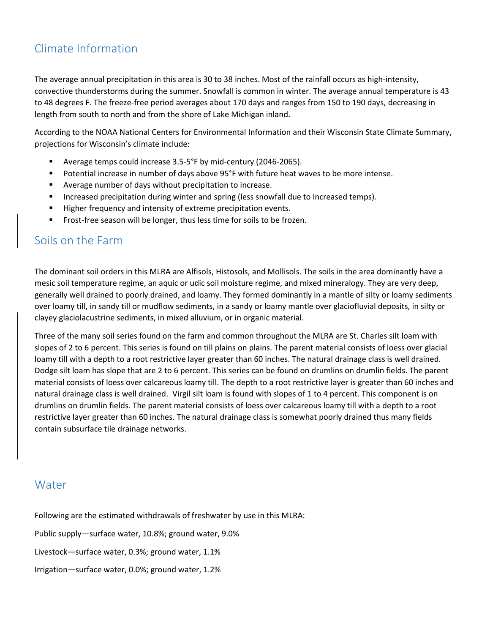### Climate Information

The average annual precipitation in this area is 30 to 38 inches. Most of the rainfall occurs as high-intensity, convective thunderstorms during the summer. Snowfall is common in winter. The average annual temperature is 43 to 48 degrees F. The freeze-free period averages about 170 days and ranges from 150 to 190 days, decreasing in length from south to north and from the shore of Lake Michigan inland.

According to the NOAA National Centers for Environmental Information and their Wisconsin State Climate Summary, projections for Wisconsin's climate include:

- Average temps could increase 3.5-5°F by mid-century (2046-2065).
- Potential increase in number of days above 95°F with future heat waves to be more intense.
- Average number of days without precipitation to increase.
- Increased precipitation during winter and spring (less snowfall due to increased temps).
- Higher frequency and intensity of extreme precipitation events.
- **EXECT:** Frost-free season will be longer, thus less time for soils to be frozen.

#### Soils on the Farm

The dominant soil orders in this MLRA are Alfisols, Histosols, and Mollisols. The soils in the area dominantly have a mesic soil temperature regime, an aquic or udic soil moisture regime, and mixed mineralogy. They are very deep, generally well drained to poorly drained, and loamy. They formed dominantly in a mantle of silty or loamy sediments over loamy till, in sandy till or mudflow sediments, in a sandy or loamy mantle over glaciofluvial deposits, in silty or clayey glaciolacustrine sediments, in mixed alluvium, or in organic material.

Three of the many soil series found on the farm and common throughout the MLRA are St. Charles silt loam with slopes of 2 to 6 percent. This series is found on till plains on plains. The parent material consists of loess over glacial loamy till with a depth to a root restrictive layer greater than 60 inches. The natural drainage class is well drained. Dodge silt loam has slope that are 2 to 6 percent. This series can be found on drumlins on drumlin fields. The parent material consists of loess over calcareous loamy till. The depth to a root restrictive layer is greater than 60 inches and natural drainage class is well drained. Virgil silt loam is found with slopes of 1 to 4 percent. This component is on drumlins on drumlin fields. The parent material consists of loess over calcareous loamy till with a depth to a root restrictive layer greater than 60 inches. The natural drainage class is somewhat poorly drained thus many fields contain subsurface tile drainage networks.

#### Water

Following are the estimated withdrawals of freshwater by use in this MLRA:

Public supply—surface water, 10.8%; ground water, 9.0%

Livestock—surface water, 0.3%; ground water, 1.1%

Irrigation—surface water, 0.0%; ground water, 1.2%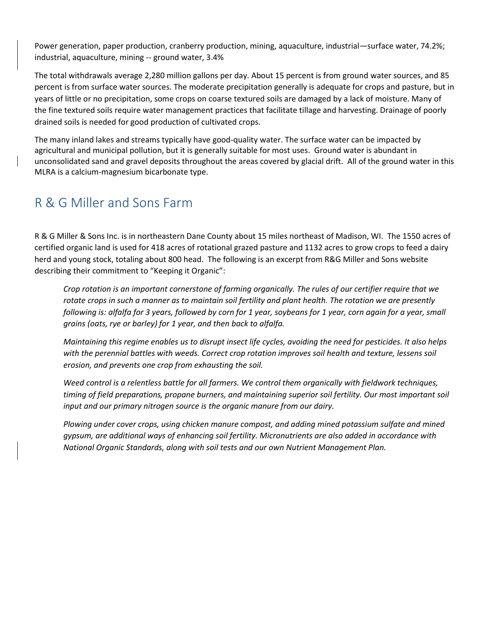Power generation, paper production, cranberry production, mining, aquaculture, industrial—surface water, 74.2%; industrial, aquaculture, mining -- ground water, 3.4%

The total withdrawals average 2,280 million gallons per day. About 15 percent is from ground water sources, and 85 percent is from surface water sources. The moderate precipitation generally is adequate for crops and pasture, but in years of little or no precipitation, some crops on coarse textured soils are damaged by a lack of moisture. Many of the fine textured soils require water management practices that facilitate tillage and harvesting. Drainage of poorly drained soils is needed for good production of cultivated crops.

The many inland lakes and streams typically have good-quality water. The surface water can be impacted by agricultural and municipal pollution, but it is generally suitable for most uses. Ground water is abundant in unconsolidated sand and gravel deposits throughout the areas covered by glacial drift. All of the ground water in this MLRA is a calcium-magnesium bicarbonate type.

## R & G Miller and Sons Farm

R & G Miller & Sons Inc. is in northeastern Dane County about 15 miles northeast of Madison, WI. The 1550 acres of certified organic land is used for 418 acres of rotational grazed pasture and 1132 acres to grow crops to feed a dairy herd and young stock, totaling about 800 head. The following is an excerpt from R&G Miller and Sons website describing their commitment to "Keeping it Organic":

*Crop rotation is an important cornerstone of farming organically. The rules of our certifier require that we rotate crops in such a manner as to maintain soil fertility and plant health. The rotation we are presently*  following is: alfalfa for 3 years, followed by corn for 1 year, soybeans for 1 year, corn again for a year, small *grains (oats, rye or barley) for 1 year, and then back to alfalfa.*

*Maintaining this regime enables us to disrupt insect life cycles, avoiding the need for pesticides. It also helps with the perennial battles with weeds. Correct crop rotation improves soil health and texture, lessens soil erosion, and prevents one crop from exhausting the soil.* 

*Weed control is a relentless battle for all farmers. We control them organically with fieldwork techniques, timing of field preparations, propane burners, and maintaining superior soil fertility. Our most important soil input and our primary nitrogen source is the organic manure from our dairy.* 

*Plowing under cover crops, using chicken manure compost, and adding mined potassium sulfate and mined gypsum, are additional ways of enhancing soil fertility. Micronutrients are also added in accordance with National Organic Standards, along with soil tests and our own Nutrient Management Plan.*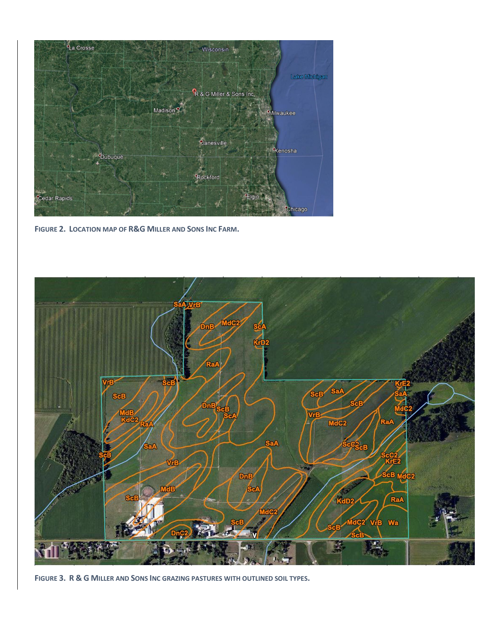

**FIGURE 2. LOCATION MAP OF R&G MILLER AND SONS INC FARM.**



**FIGURE 3. R & G MILLER AND SONS INC GRAZING PASTURES WITH OUTLINED SOIL TYPES.**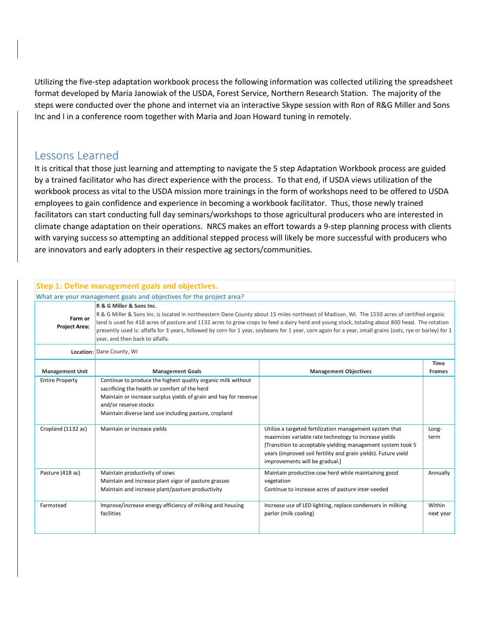Utilizing the five-step adaptation workbook process the following information was collected utilizing the spreadsheet format developed by Maria Janowiak of the USDA, Forest Service, Northern Research Station. The majority of the steps were conducted over the phone and internet via an interactive Skype session with Ron of R&G Miller and Sons Inc and I in a conference room together with Maria and Joan Howard tuning in remotely.

#### Lessons Learned

It is critical that those just learning and attempting to navigate the 5 step Adaptation Workbook process are guided by a trained facilitator who has direct experience with the process. To that end, if USDA views utilization of the workbook process as vital to the USDA mission more trainings in the form of workshops need to be offered to USDA employees to gain confidence and experience in becoming a workbook facilitator. Thus, those newly trained facilitators can start conducting full day seminars/workshops to those agricultural producers who are interested in climate change adaptation on their operations. NRCS makes an effort towards a 9-step planning process with clients with varying success so attempting an additional stepped process will likely be more successful with producers who are innovators and early adopters in their respective ag sectors/communities.

|                                 | Step 1: Define management goals and objectives.                                                                                                                                                                                                                     |                                                                                                                                                                                                                                                                                                                                                                                                                                                             |                              |
|---------------------------------|---------------------------------------------------------------------------------------------------------------------------------------------------------------------------------------------------------------------------------------------------------------------|-------------------------------------------------------------------------------------------------------------------------------------------------------------------------------------------------------------------------------------------------------------------------------------------------------------------------------------------------------------------------------------------------------------------------------------------------------------|------------------------------|
|                                 | What are your management goals and objectives for the project area?                                                                                                                                                                                                 |                                                                                                                                                                                                                                                                                                                                                                                                                                                             |                              |
| Farm or<br><b>Project Area:</b> | R & G Miller & Sons Inc.<br>year, and then back to alfalfa.                                                                                                                                                                                                         | R & G Miller & Sons Inc. is located in northeastern Dane County about 15 miles northeast of Madison, WI. The 1550 acres of certified organic<br>land is used for 418 acres of pasture and 1132 acres to grow crops to feed a dairy herd and young stock, totaling about 800 head. The rotation<br>presently used is: alfalfa for 3 years, followed by corn for 1 year, soybeans for 1 year, corn again for a year, small grains (oats, rye or barley) for 1 |                              |
|                                 | Location: Dane County, WI                                                                                                                                                                                                                                           |                                                                                                                                                                                                                                                                                                                                                                                                                                                             |                              |
| <b>Management Unit</b>          | <b>Management Goals</b>                                                                                                                                                                                                                                             | <b>Management Objectives</b>                                                                                                                                                                                                                                                                                                                                                                                                                                | <b>Time</b><br><b>Frames</b> |
| <b>Entire Property</b>          | Continue to produce the highest quality organic milk without<br>sacrificing the health or comfort of the herd<br>Maintain or increase surplus yields of grain and hay for revenue<br>and/or reserve stocks<br>Maintain diverse land use including pasture, cropland |                                                                                                                                                                                                                                                                                                                                                                                                                                                             |                              |
| Cropland (1132 ac)              | Maintain or increase yields                                                                                                                                                                                                                                         | Utilize a targeted fertilization management system that<br>maximizes variable rate technology to increase yields<br>[Transition to acceptable yielding management system took 5<br>years (improved soil fertility and grain yields). Future yield<br>improvements will be gradual.]                                                                                                                                                                         | Long-<br>term                |
| Pasture (418 ac)                | Maintain productivity of cows<br>Maintain and increase plant vigor of pasture grasses<br>Maintain and increase plant/pasture productivity                                                                                                                           | Maintain productive cow herd while maintaining good<br>vegetation<br>Continue to increase acres of pasture inter-seeded                                                                                                                                                                                                                                                                                                                                     | Annually                     |
| Farmstead                       | Improve/increase energy efficiency of milking and housing<br>facilities                                                                                                                                                                                             | Increase use of LED lighting, replace condensers in milking<br>parlor (milk cooling)                                                                                                                                                                                                                                                                                                                                                                        | Within<br>next year          |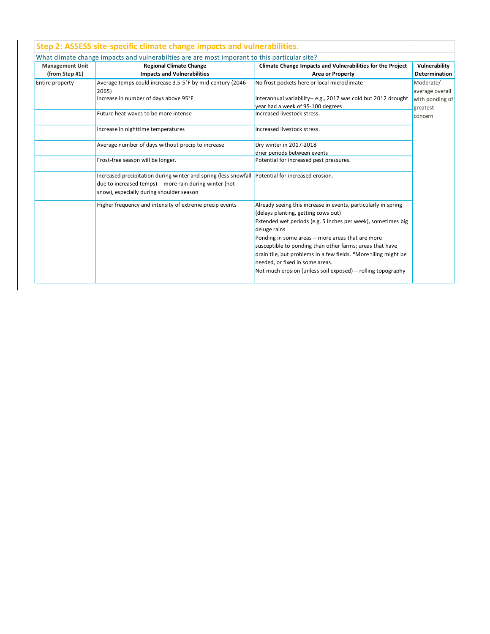|                        | What climate change impacts and vulnerabilties are are most imporant to this particular site?                                                                                                           |                                                                                                                                                                                                                                                                                                                                                                                                                                                                              |                              |  |
|------------------------|---------------------------------------------------------------------------------------------------------------------------------------------------------------------------------------------------------|------------------------------------------------------------------------------------------------------------------------------------------------------------------------------------------------------------------------------------------------------------------------------------------------------------------------------------------------------------------------------------------------------------------------------------------------------------------------------|------------------------------|--|
| <b>Management Unit</b> | <b>Regional Climate Change</b>                                                                                                                                                                          | Climate Change Impacts and Vulnerabilities for the Project                                                                                                                                                                                                                                                                                                                                                                                                                   | Vulnerability                |  |
| (from Step #1)         | <b>Impacts and Vulnerabilities</b>                                                                                                                                                                      | <b>Area or Property</b>                                                                                                                                                                                                                                                                                                                                                                                                                                                      | <b>Determination</b>         |  |
| Entire property        | Average temps could increase 3.5-5°F by mid-century (2046-<br>2065)                                                                                                                                     | No frost pockets here or local microclimate                                                                                                                                                                                                                                                                                                                                                                                                                                  | Moderate/<br>average overall |  |
|                        | Increase in number of days above 95°F                                                                                                                                                                   | Interannual variability-- e.g., 2017 was cold but 2012 drought<br>year had a week of 95-100 degrees                                                                                                                                                                                                                                                                                                                                                                          | with ponding of<br>greatest  |  |
|                        | Future heat waves to be more intense                                                                                                                                                                    | Increased livestock stress.                                                                                                                                                                                                                                                                                                                                                                                                                                                  | concern                      |  |
|                        | Increase in nighttime temperatures                                                                                                                                                                      | Increased livestock stress.                                                                                                                                                                                                                                                                                                                                                                                                                                                  |                              |  |
|                        | Average number of days without precip to increase                                                                                                                                                       | Dry winter in 2017-2018                                                                                                                                                                                                                                                                                                                                                                                                                                                      |                              |  |
|                        |                                                                                                                                                                                                         | drier periods between events                                                                                                                                                                                                                                                                                                                                                                                                                                                 |                              |  |
|                        | Frost-free season will be longer.                                                                                                                                                                       | Potential for increased pest pressures.                                                                                                                                                                                                                                                                                                                                                                                                                                      |                              |  |
|                        | Increased precipitation during winter and spring (less snowfall Potential for increased erosion.<br>due to increased temps) -- more rain during winter (not<br>snow), especially during shoulder season |                                                                                                                                                                                                                                                                                                                                                                                                                                                                              |                              |  |
|                        | Higher frequency and intensity of extreme precip events                                                                                                                                                 | Already seeing this increase in events, particularly in spring<br>(delays planting, getting cows out)<br>Extended wet periods (e.g. 5 inches per week), sometimes big<br>deluge rains<br>Ponding in some areas -- more areas that are more<br>susceptible to ponding than other farms; areas that have<br>drain tile, but problems in a few fields. *More tiling might be<br>needed, or fixed in some areas.<br>Not much erosion (unless soil exposed) -- rolling topography |                              |  |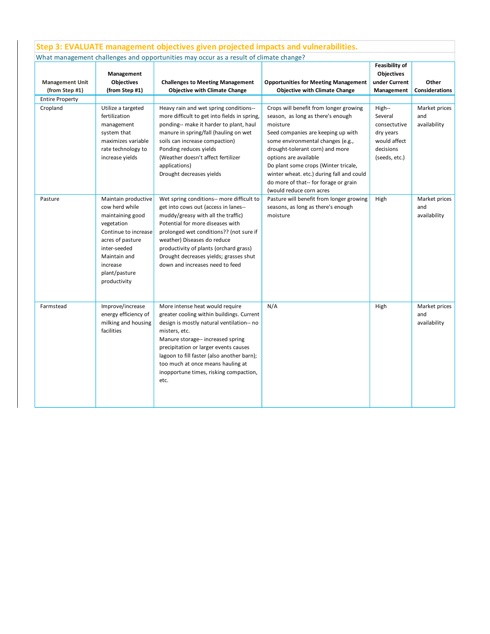| <b>Management Unit</b><br>(from Step #1) | Management<br><b>Objectives</b><br>(from Step #1)                                                                                                                                                | <b>Challenges to Meeting Management</b><br><b>Objective with Climate Change</b>                                                                                                                                                                                                                                                                               | <b>Opportunities for Meeting Management</b><br><b>Objective with Climate Change</b>                                                                                                                                                                                                                                                                                                      | <b>Feasibility of</b><br>Objectives<br>under Current<br>Management                           | Other<br><b>Considerations</b>       |
|------------------------------------------|--------------------------------------------------------------------------------------------------------------------------------------------------------------------------------------------------|---------------------------------------------------------------------------------------------------------------------------------------------------------------------------------------------------------------------------------------------------------------------------------------------------------------------------------------------------------------|------------------------------------------------------------------------------------------------------------------------------------------------------------------------------------------------------------------------------------------------------------------------------------------------------------------------------------------------------------------------------------------|----------------------------------------------------------------------------------------------|--------------------------------------|
| <b>Entire Property</b><br>Cropland       | Utilize a targeted<br>fertilization<br>management<br>system that<br>maximizes variable<br>rate technology to<br>increase yields                                                                  | Heavy rain and wet spring conditions--<br>more difficult to get into fields in spring,<br>ponding-- make it harder to plant, haul<br>manure in spring/fall (hauling on wet<br>soils can increase compaction)<br>Ponding reduces yields<br>(Weather doesn't affect fertilizer<br>applications)<br>Drought decreases yields                                     | Crops will benefit from longer growing<br>season, as long as there's enough<br>moisture<br>Seed companies are keeping up with<br>some environmental changes (e.g.,<br>drought-tolerant corn) and more<br>options are available<br>Do plant some crops (Winter tricale,<br>winter wheat. etc.) during fall and could<br>do more of that-- for forage or grain<br>(would reduce corn acres | High--<br>Several<br>consectutive<br>dry years<br>would affect<br>decisions<br>(seeds, etc.) | Market prices<br>and<br>availability |
| Pasture                                  | Maintain productive<br>cow herd while<br>maintaining good<br>vegetation<br>Continue to increase<br>acres of pasture<br>inter-seeded<br>Maintain and<br>increase<br>plant/pasture<br>productivity | Wet spring conditions-- more difficult to<br>get into cows out (access in lanes--<br>muddy/greasy with all the traffic)<br>Potential for more diseases with<br>prolonged wet conditions?? (not sure if<br>weather) Diseases do reduce<br>productivity of plants (orchard grass)<br>Drought decreases yields; grasses shut<br>down and increases need to feed  | Pasture will benefit from longer growing<br>seasons, as long as there's enough<br>moisture                                                                                                                                                                                                                                                                                               | High                                                                                         | Market prices<br>and<br>availability |
| Farmstead                                | Improve/increase<br>energy efficiency of<br>milking and housing<br>facilities                                                                                                                    | More intense heat would require<br>greater cooling within buildings. Current<br>design is mostly natural ventilation-- no<br>misters, etc.<br>Manure storage-- increased spring<br>precipitation or larger events causes<br>lagoon to fill faster (also another barn);<br>too much at once means hauling at<br>inopportune times, risking compaction,<br>etc. | N/A                                                                                                                                                                                                                                                                                                                                                                                      | High                                                                                         | Market prices<br>and<br>availability |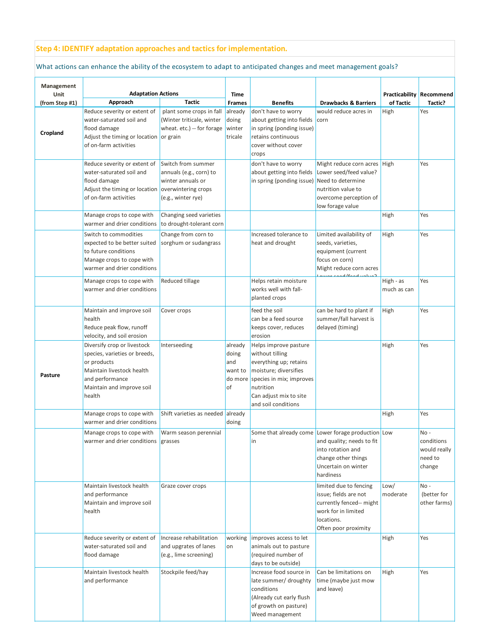#### **Step 4: IDENTIFY adaptation approaches and tactics for implementation.**

#### What actions can enhance the ability of the ecosystem to adapt to anticipated changes and meet management goals?

| Management     |                                                                                                                                                                    |                                                                                          |                                          |                                                                                                                                                                                               |                                                                                                                                                                 |                                 |                                                         |
|----------------|--------------------------------------------------------------------------------------------------------------------------------------------------------------------|------------------------------------------------------------------------------------------|------------------------------------------|-----------------------------------------------------------------------------------------------------------------------------------------------------------------------------------------------|-----------------------------------------------------------------------------------------------------------------------------------------------------------------|---------------------------------|---------------------------------------------------------|
| Unit           | <b>Adaptation Actions</b>                                                                                                                                          |                                                                                          | Time                                     |                                                                                                                                                                                               |                                                                                                                                                                 | <b>Practicability Recommend</b> |                                                         |
| (from Step #1) | Approach                                                                                                                                                           | <b>Tactic</b>                                                                            | Frames                                   | <b>Benefits</b>                                                                                                                                                                               | <b>Drawbacks &amp; Barriers</b>                                                                                                                                 | of Tactic                       | Tactic?                                                 |
| Cropland       | Reduce severity or extent of<br>water-saturated soil and<br>flood damage<br>Adjust the timing or location or grain<br>of on-farm activities                        | plant some crops in fall<br>(Winter triticale, winter<br>wheat. etc.) -- for forage      | already<br>doing<br>winter<br>tricale    | don't have to worry<br>about getting into fields<br>in spring (ponding issue)<br>retains continuous<br>cover without cover<br>crops                                                           | would reduce acres in<br>corn                                                                                                                                   | High                            | Yes                                                     |
|                | Reduce severity or extent of<br>water-saturated soil and<br>flood damage<br>Adjust the timing or location overwintering crops<br>of on-farm activities             | Switch from summer<br>annuals (e.g., corn) to<br>winter annuals or<br>(e.g., winter rye) |                                          | don't have to worry<br>about getting into fields<br>in spring (ponding issue) Need to determine                                                                                               | Might reduce corn acres High<br>Lower seed/feed value?<br>nutrition value to<br>overcome perception of<br>low forage value                                      |                                 | Yes                                                     |
|                | Manage crops to cope with<br>warmer and drier conditions                                                                                                           | Changing seed varieties<br>to drought-tolerant corn                                      |                                          |                                                                                                                                                                                               |                                                                                                                                                                 | High                            | Yes                                                     |
|                | Switch to commodities<br>expected to be better suited<br>to future conditions<br>Manage crops to cope with<br>warmer and drier conditions                          | Change from corn to<br>sorghum or sudangrass                                             |                                          | Increased tolerance to<br>heat and drought                                                                                                                                                    | Limited availability of<br>seeds, varieties,<br>equipment (current<br>focus on corn)<br>Might reduce corn acres<br>Counter thood book sound                     | High                            | Yes                                                     |
|                | Manage crops to cope with<br>warmer and drier conditions                                                                                                           | Reduced tillage                                                                          |                                          | Helps retain moisture<br>works well with fall-<br>planted crops                                                                                                                               |                                                                                                                                                                 | High - as<br>much as can        | Yes                                                     |
|                | Maintain and improve soil<br>health<br>Reduce peak flow, runoff<br>velocity, and soil erosion                                                                      | Cover crops                                                                              |                                          | feed the soil<br>can be a feed source<br>keeps cover, reduces<br>erosion                                                                                                                      | can be hard to plant if<br>summer/fall harvest is<br>delayed (timing)                                                                                           | High                            | Yes                                                     |
| Pasture        | Diversify crop or livestock<br>species, varieties or breeds,<br>or products<br>Maintain livestock health<br>and performance<br>Maintain and improve soil<br>health | Interseeding                                                                             | already<br>doing<br>and<br>want to<br>of | Helps improve pasture<br>without tilling<br>everything up; retains<br>moisture; diversifies<br>do more species in mix; improves<br>nutrition<br>Can adjust mix to site<br>and soil conditions |                                                                                                                                                                 | High                            | Yes                                                     |
|                | Manage crops to cope with<br>warmer and drier conditions                                                                                                           | Shift varieties as needed already                                                        | doing                                    |                                                                                                                                                                                               |                                                                                                                                                                 | High                            | Yes                                                     |
|                | Manage crops to cope with<br>warmer and drier conditions grasses                                                                                                   | Warm season perennial                                                                    |                                          | lin                                                                                                                                                                                           | Some that already come Lower forage production Low<br>and quality; needs to fit<br>into rotation and<br>change other things<br>Uncertain on winter<br>hardiness |                                 | No -<br>conditions<br>would really<br>need to<br>change |
|                | Maintain livestock health<br>and performance<br>Maintain and improve soil<br>health                                                                                | Graze cover crops                                                                        |                                          |                                                                                                                                                                                               | limited due to fencing<br>issue; fields are not<br>currently fenced-- might<br>work for in limited<br>locations.<br>Often poor proximity                        | Low/<br>moderate                | No-<br>(better for<br>other farms)                      |
|                | Reduce severity or extent of<br>water-saturated soil and<br>flood damage                                                                                           | Increase rehabilitation<br>and upgrates of lanes<br>(e.g., lime screening)               | working<br>on                            | improves access to let<br>animals out to pasture<br>(required number of<br>days to be outside)                                                                                                |                                                                                                                                                                 | High                            | Yes                                                     |
|                | Maintain livestock health<br>and performance                                                                                                                       | Stockpile feed/hay                                                                       |                                          | Increase food source in<br>late summer/ droughty<br>conditions<br>(Already cut early flush<br>of growth on pasture)<br>Weed management                                                        | Can be limitations on<br>time (maybe just mow<br>and leave)                                                                                                     | High                            | Yes                                                     |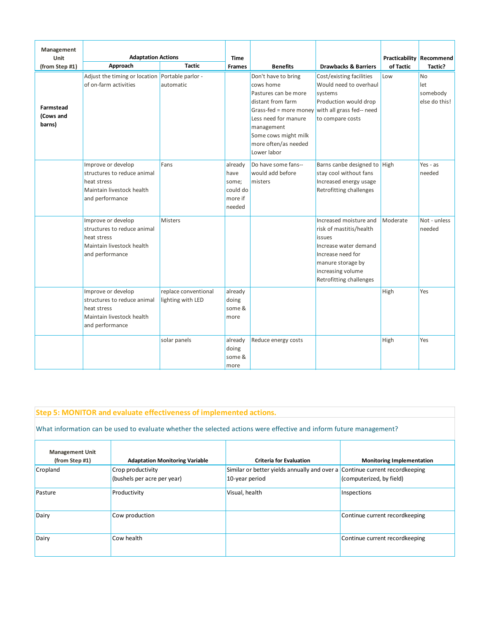| Management                       |                                                                                                                  |                                           |                                                           |                                                                                                                                                                                                                                        |                                                                                                                                                                                |           |                                        |
|----------------------------------|------------------------------------------------------------------------------------------------------------------|-------------------------------------------|-----------------------------------------------------------|----------------------------------------------------------------------------------------------------------------------------------------------------------------------------------------------------------------------------------------|--------------------------------------------------------------------------------------------------------------------------------------------------------------------------------|-----------|----------------------------------------|
| Unit                             | <b>Adaptation Actions</b>                                                                                        |                                           | <b>Time</b>                                               |                                                                                                                                                                                                                                        |                                                                                                                                                                                |           | <b>Practicability Recommend</b>        |
| (from Step #1)                   | Approach                                                                                                         | <b>Tactic</b>                             | Frames                                                    | <b>Benefits</b>                                                                                                                                                                                                                        | <b>Drawbacks &amp; Barriers</b>                                                                                                                                                | of Tactic | Tactic?                                |
| Farmstead<br>(Cows and<br>barns) | Adjust the timing or location Portable parlor -<br>of on-farm activities                                         | automatic                                 |                                                           | Don't have to bring<br>cows home<br>Pastures can be more<br>distant from farm<br>Grass-fed = more money with all grass fed-- need<br>Less need for manure<br>management<br>Some cows might milk<br>more often/as needed<br>Lower labor | Cost/existing facilities<br>Would need to overhaul<br>systems<br>Production would drop<br>to compare costs                                                                     | Low       | No<br>let<br>somebody<br>else do this! |
|                                  | Improve or develop<br>structures to reduce animal<br>heat stress<br>Maintain livestock health<br>and performance | Fans                                      | already<br>have<br>some;<br>could do<br>more if<br>needed | Do have some fans--<br>would add before<br>misters                                                                                                                                                                                     | Barns canbe designed to High<br>stay cool without fans<br>Increased energy usage<br>Retrofitting challenges                                                                    |           | Yes - $as$<br>needed                   |
|                                  | Improve or develop<br>structures to reduce animal<br>heat stress<br>Maintain livestock health<br>and performance | <b>Misters</b>                            |                                                           |                                                                                                                                                                                                                                        | Increased moisture and<br>risk of mastitis/health<br>issues<br>Increase water demand<br>Increase need for<br>manure storage by<br>increasing volume<br>Retrofitting challenges | Moderate  | Not - unless<br>needed                 |
|                                  | Improve or develop<br>structures to reduce animal<br>heat stress<br>Maintain livestock health<br>and performance | replace conventional<br>lighting with LED | already<br>doing<br>some &<br>more                        |                                                                                                                                                                                                                                        |                                                                                                                                                                                | High      | Yes                                    |
|                                  |                                                                                                                  | solar panels                              | already<br>doing<br>some &<br>more                        | Reduce energy costs                                                                                                                                                                                                                    |                                                                                                                                                                                | High      | Yes                                    |

# **Step 5: MONITOR and evaluate effectiveness of implemented actions.**

What information can be used to evaluate whether the selected actions were effective and inform future management?

| <b>Management Unit</b><br>(from Step #1) | <b>Adaptation Monitoring Variable</b> | <b>Criteria for Evaluation</b>                                              | <b>Monitoring Implementation</b> |
|------------------------------------------|---------------------------------------|-----------------------------------------------------------------------------|----------------------------------|
|                                          |                                       |                                                                             |                                  |
| Cropland                                 | Crop productivity                     | Similar or better yields annually and over a Continue current recordkeeping |                                  |
|                                          | (bushels per acre per year)           | 10-year period                                                              | (computerized, by field)         |
| Pasture                                  | Productivity                          | Visual, health                                                              | Inspections                      |
| Dairy                                    | Cow production                        |                                                                             | Continue current recordkeeping   |
| Dairy                                    | Cow health                            |                                                                             | Continue current recordkeeping   |